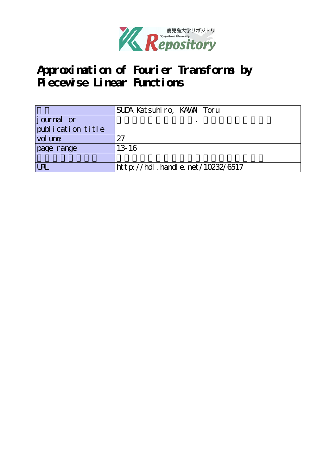

# **Approximation of Fourier Transforms by Piecewise Linear Functions**

|                   | SUDA Katsuhiro, KAWAI Toru       |
|-------------------|----------------------------------|
| journal or        |                                  |
| publication title |                                  |
| vol une           | 27                               |
| page range        | 13 16                            |
|                   |                                  |
| <b>URL</b>        | http://hdl.handle.net/10232/6517 |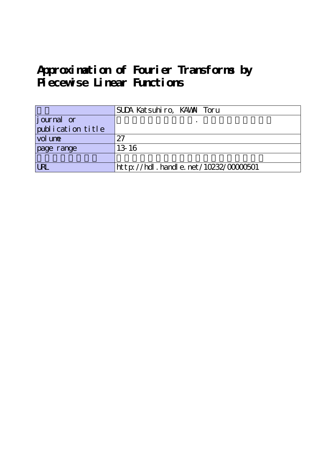# **Approximation of Fourier Transforms by Piecewise Linear Functions**

|                   | SUDA Katsuhiro, KAWAI Toru               |
|-------------------|------------------------------------------|
| journal or        |                                          |
| publication title |                                          |
| vol une           | 27                                       |
| page range        | 13 16                                    |
|                   |                                          |
| <b>LRL</b>        | $http$ ://hdl. handle. net/10232/0000501 |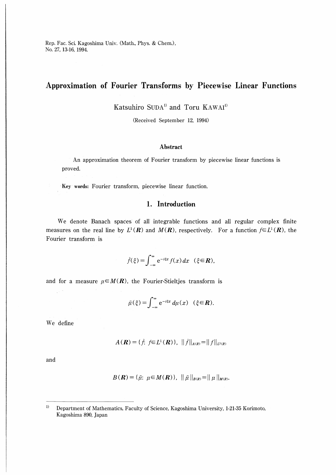Rep. Fac. Sci. Kagoshima Univ. (Math., Phys. & Chem.), No. 27, 13-16, 1994.

### Approximation of Fourier Transforms by Piecewise Linear Functions

Katsuhiro SUDA<sup>1)</sup> and Toru KAWAI<sup>1)</sup>

(Received September 12, 1994)

#### Abstract

An approximation theorem of Fourier transform by piecewise linear functions is proved.

Key words: Fourier transform, piecewise linear function.

### 1. Introduction

We denote Banach spaces of all integrable functions and all regular complex finite measures on the real line by  $L^1(\mathbf{R})$  and  $M(\mathbf{R})$ , respectively. For a function  $f \in L^1(\mathbf{R})$ , the Fourier transform is

$$
\hat{f}(\xi) = \int_{-\infty}^{\infty} e^{-i\xi x} f(x) dx \quad (\xi \in \mathbb{R}),
$$

and for a measure  $\mu \in M(R)$ , the Fourier-Stieltjes transform is

$$
\hat{\mu}(\xi) = \int_{-\infty}^{\infty} e^{-i\xi x} d\mu(x) \quad (\xi \in \mathbb{R}).
$$

We define

 $\frac{1}{2} \sqrt{2}$ 

$$
A(\mathbf{R}) = \{\hat{f}: f \in L^1(\mathbf{R})\}, \, \|\hat{f}\|_{A(\mathbf{R})} = \|f\|_{L^1(\mathbf{R})}
$$

and

$$
B(\mathbf{R}) = {\hat{\mu}: \mu \in M(\mathbf{R})}, \|\hat{\mu}\|_{B(\mathbf{R})} = \|\mu\|_{M(\mathbf{R})}.
$$

 $1)$ Department of Mathematics, Faculty of Science, Kagoshima University, 1-21-35 Korimoto, Kagoshima 890, Japan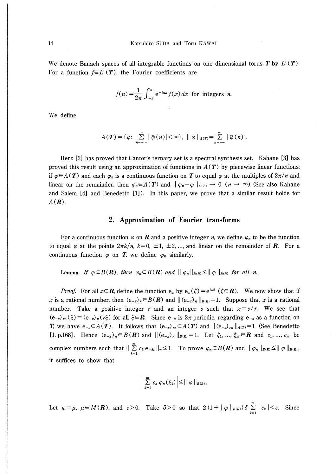We denote Banach spaces of all integrable functions on one dimensional torus T by  $L^1(T)$ . For a function  $f \in L^1(T)$ , the Fourier coefficients are

$$
\hat{f}(n) = \frac{1}{2\pi} \int_{-\pi}^{\pi} e^{-inx} f(x) dx
$$
 for integers *n*.

We define

$$
A(\mathbf{T}) = \{ \varphi: \sum_{n=-\infty}^{\infty} |\widehat{\varphi}(n)| < \infty \}, \ \|\varphi\|_{A(\mathbf{T})} = \sum_{n=-\infty}^{\infty} |\widehat{\varphi}(n)|.
$$

Herz [2] has proved that Cantor's ternary set is a spectral synthesis set. Kahane [3] has proved this result using an approximation of functions in  $A(T)$  by piecewise linear functions: if  $\varphi \in A(T)$  and each  $\varphi_n$  is a continuous function on T to equal  $\varphi$  at the multiples of  $2\pi/n$  and linear on the remainder, then  $\varphi_n \in A(T)$  and  $\|\varphi_n-\varphi\|_{A(T)} \to 0 \ (n \to \infty)$  (See also Kahane and Salem [4] and Benedetto [1]). In this paper, we prove that a similar result holds for  $A(\mathbf{R})$ .

#### 2. Approximation of Fourier transforms

For a continuous function  $\varphi$  on **R** and a positive integer n, we define  $\varphi_n$  to be the function to equal  $\varphi$  at the points  $2\pi k/n$ ,  $k=0, \pm 1, \pm 2,...$ , and linear on the remainder of **R**. For a continuous function  $\varphi$  on **T**, we define  $\varphi_n$  similarly.

Lemma. If  $\varphi \in B(\mathbf{R})$ , then  $\varphi_n \in B(\mathbf{R})$  and  $\|\varphi_n\|_{B(\mathbf{R})} \leq \|\varphi\|_{B(\mathbf{R})}$  for all n.

*Proof.* For all  $x \in \mathbb{R}$ , define the function  $e_x$  by  $e_x(\xi) = e^{ix\xi}$  ( $\xi \in \mathbb{R}$ ). We now show that if x is a rational number, then  $(e_{-x})_n \in B(R)$  and  $|| (e_{-x})_n ||_{B(R)} = 1$ . Suppose that x is a rational number. Take a positive integer r and an integer s such that  $x = s/r$ . We see that  $(e_{-s})_{m}(\xi) = (e_{-x})_{n}(\xi)$  for all  $\xi \in \mathbb{R}$ . Since  $e_{-s}$  is 2 $\pi$ -periodic, regarding  $e_{-s}$  as a function on **T**, we have  $e_{-s} \in A(T)$ . It follows that  $(e_{-s})_{m} \in A(T)$  and  $||(e_{-s})_{m}||_{A(T)} = 1$  (See Benedetto [1, p.168]. Hence  $(e_{-x})_n \in B(R)$  and  $||(e_{-x})_n||_{B(R)}=1$ . Let  $\xi_1, ..., \xi_m \in R$  and  $c_1, ..., c_m$  be complex numbers such that  $\sum_{k=1}^{\infty} c_k e_{-\xi_k} \leq 1$ . To prove  $\varphi_n \in B(R)$  and  $||\varphi_n||_{B(R)} \leq ||\varphi||_{B(R)}$ it suffices to show that

$$
\left|\sum_{k=1}^m c_k \varphi_n(\xi_k)\right| \leq ||\varphi||_{B(R)}.
$$

Let  $\varphi = \hat{\mu}, \ \mu \in M(R)$ , and  $\varepsilon > 0$ . Take  $\delta > 0$  so that  $2(1 + ||\varphi||_{B(R)}) \delta \sum_{k=1}^{m} |c_k| < \varepsilon$ . Since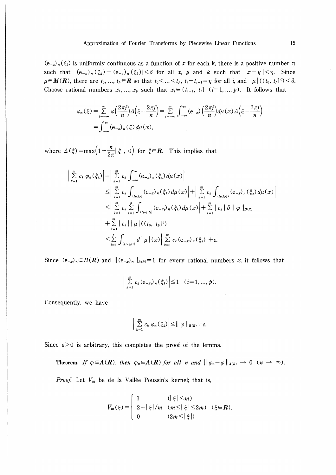$(e_{-x})_n(\xi_k)$  is uniformly continuous as a function of x for each k, there is a positive number  $\eta$ such that  $|(e_{-x})_n(\xi_k)-(e_{-y})_n(\xi_k)|<\delta$  for all x, y and k such that  $|x-y|<\eta$ . Since  $\mu \in M(\mathbf{R})$ , there are  $t_0, ..., t_p \in \mathbf{R}$  so that  $t_0 < ... < t_p$ ,  $t_i - t_{i-1} = \eta$  for all i, and  $|\mu|((t_0, t_p)^c) < \delta$ . Choose rational numbers  $x_1, ..., x_p$  such that  $x_i \in (t_{i-1}, t_i]$   $(i=1, ..., p)$ . It follows that

$$
\varphi_n(\xi) = \sum_{j=-\infty}^{\infty} \varphi\left(\frac{2\pi j}{n}\right) \Delta\left(\xi - \frac{2\pi j}{n}\right) = \sum_{j=-\infty}^{\infty} \int_{-\infty}^{\infty} (e_{-x}) \left(\frac{2\pi j}{n}\right) d\mu(x) \Delta\left(\xi - \frac{2\pi j}{n}\right)
$$

$$
= \int_{-\infty}^{\infty} (e_{-x})_n(\xi) d\mu(x),
$$

where  $\Delta(\xi) = \max\left(1 - \frac{n}{2\pi} |\xi|, 0\right)$  for  $\xi \in \mathbb{R}$ . This implies that

$$
\left| \sum_{k=1}^{m} c_{k} \varphi_{n}(\xi_{k}) \right| = \left| \sum_{k=1}^{m} c_{k} \int_{-\infty}^{\infty} (e_{-x})_{n}(\xi_{k}) d\mu(x) \right|
$$
  
\n
$$
\leq \left| \sum_{k=1}^{m} c_{k} \int_{(t_{0},t_{p}]} (e_{-x})_{n}(\xi_{k}) d\mu(x) \right| + \left| \sum_{k=1}^{m} c_{k} \int_{(t_{0},t_{p}]^{c}} (e_{-x})_{n}(\xi_{k}) d\mu(x) \right|
$$
  
\n
$$
\leq \left| \sum_{k=1}^{m} c_{k} \sum_{i=1}^{p} \int_{(t_{i-1},t_{i}]} (e_{-x_{i}})_{n}(\xi_{k}) d\mu(x) \right| + \sum_{k=1}^{m} |c_{k}| \delta || \varphi ||_{B(R)}
$$
  
\n
$$
+ \sum_{k=1}^{m} |c_{k}| | \mu | ((t_{0}, t_{p}]^{c})
$$
  
\n
$$
\leq \sum_{i=1}^{p} \int_{(t_{i-1},t_{i}]} d | \mu | (x) | \sum_{k=1}^{m} c_{k} (e_{-x_{i}})_{n}(\xi_{k}) + \varepsilon.
$$

Since  $(e_{-x})_n \in B(R)$  and  $||(e_{-x})_n||_{B(R)} = 1$  for every rational numbers x, it follows that

$$
\left|\sum_{k=1}^m c_k (e_{-xi})_n (\xi_k)\right| \leq 1 \quad (i=1,...,p).
$$

Consequently, we have

$$
\left|\sum_{k=1}^m c_k \varphi_n(\xi_k)\right| \leq ||\varphi||_{B(R)} + \varepsilon.
$$

Since  $\varepsilon > 0$  is arbitrary, this completes the proof of the lemma.

**Theorem.** If 
$$
\varphi \in A(\mathbf{R})
$$
, then  $\varphi_n \in A(\mathbf{R})$  for all n and  $\|\varphi_n - \varphi\|_{A(\mathbf{R})} \to 0$   $(n \to \infty)$ .

*Proof.* Let  $V_m$  be de la Vallée Poussin's kernel; that is,

$$
\widehat{V}_m(\xi) = \begin{cases} 1 & (\vert \xi \vert \leq m) \\ 2 - \vert \xi \vert / m & (m \leq \vert \xi \vert \leq 2m) & (\xi \in \mathbb{R}). \\ 0 & (2m \leq \vert \xi \vert) \end{cases}
$$